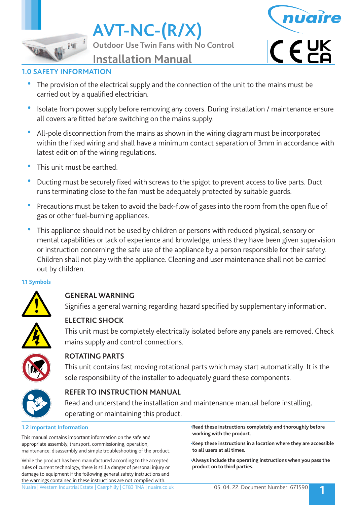

**AVT-NC-(R/X)**

**Outdoor Use Twin Fans with No Control**



**Installation Manual**

# **1.0 SAFETY INFORMATION**

- The provision of the electrical supply and the connection of the unit to the mains must be carried out by a qualified electrician.
- Isolate from power supply before removing any covers. During installation / maintenance ensure all covers are fitted before switching on the mains supply.
- All-pole disconnection from the mains as shown in the wiring diagram must be incorporated within the fixed wiring and shall have a minimum contact separation of 3mm in accordance with latest edition of the wiring regulations.
- This unit must be earthed.
- Ducting must be securely fixed with screws to the spigot to prevent access to live parts. Duct runs terminating close to the fan must be adequately protected by suitable guards.
- Precautions must be taken to avoid the back-flow of gases into the room from the open flue of gas or other fuel-burning appliances.
- This appliance should not be used by children or persons with reduced physical, sensory or mental capabilities or lack of experience and knowledge, unless they have been given supervision or instruction concerning the safe use of the appliance by a person responsible for their safety. Children shall not play with the appliance. Cleaning and user maintenance shall not be carried out by children.

### **1.1 Symbols**

# **GENERAL WARNING**

Signifies a general warning regarding hazard specified by supplementary information.



# **ELECTRIC SHOCK**

 This unit must be completely electrically isolated before any panels are removed. Check mains supply and control connections.



# **ROTATING PARTS**

 This unit contains fast moving rotational parts which may start automatically. It is the sole responsibility of the installer to adequately guard these components.



# **REFER TO INSTRUCTION MANUAL**

 Read and understand the installation and maintenance manual before installing, operating or maintaining this product.

### **1.2 Important Information**

This manual contains important information on the safe and appropriate assembly, transport, commissioning, operation, maintenance, disassembly and simple troubleshooting of the product.

**1** Nuaire | Western Industrial Estate | Caerphilly | CF83 1NA | nuaire.co.uk 05. 04. 22. Document Number 671590 While the product has been manufactured according to the accepted rules of current technology, there is still a danger of personal injury or damage to equipment if the following general safety instructions and the warnings contained in these instructions are not complied with.

•**Read these instructions completely and thoroughly before working with the product.**

•**Keep these instructions in a location where they are accessible to all users at all times.**

•**Always include the operating instructions when you pass the product on to third parties.**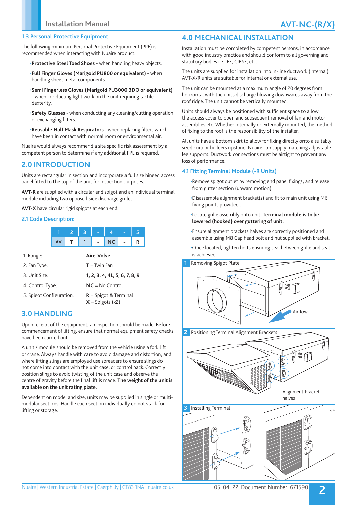### **1.3 Personal Protective Equipment**

The following minimum Personal Protective Equipment (PPE) is recommended when interacting with Nuaire product:

•**Protective Steel Toed Shoes -** when handling heavy objects.

•**Full Finger Gloves (Marigold PU800 or equivalent) -** when handling sheet metal components.

•**Semi Fingerless Gloves (Marigold PU3000 3DO or equivalent)**  - when conducting light work on the unit requiring tactile dexterity.

•**Safety Glasses** - when conducting any cleaning/cutting operation or exchanging filters.

•**Reusable Half Mask Respirators** - when replacing filters which have been in contact with normal room or environmental air.

Nuaire would always recommend a site specific risk assessment by a competent person to determine if any additional PPE is required.

### **2.0 INTRODUCTION**

Units are rectangular in section and incorporate a full size hinged access panel fitted to the top of the unit for inspection purposes.

**AVT-R** are supplied with a circular end spigot and an individual terminal module including two opposed side discharge grilles.

**AVT-X** have circular rigid spigots at each end.

### **2.1 Code Description:**



| 1. Range:                | Aire-Volve                                    |
|--------------------------|-----------------------------------------------|
| 2. Fan Type:             | $T = Twin Fan$                                |
| 3. Unit Size:            | 1, 2, 3, 4, 4L, 5, 6, 7, 8, 9                 |
| 4. Control Type:         | $NC = No Control$                             |
| 5. Spigot Configuration: | $R =$ Spigot & Terminal<br>$X =$ Spigots (x2) |

### **3.0 HANDLING**

Upon receipt of the equipment, an inspection should be made. Before commencement of lifting, ensure that normal equipment safety checks have been carried out.

A unit / module should be removed from the vehicle using a fork lift or crane. Always handle with care to avoid damage and distortion, and where lifting slings are employed use spreaders to ensure slings do not come into contact with the unit case, or control pack. Correctly position slings to avoid twisting of the unit case and observe the centre of gravity before the final lift is made. **The weight of the unit is available on the unit rating plate.** 

Dependent on model and size, units may be supplied in single or multimodular sections. Handle each section individually do not stack for lifting or storage.

### **4.0 MECHANICAL INSTALLATION**

Installation must be completed by competent persons, in accordance with good industry practice and should conform to all governing and statutory bodies i.e. IEE, CIBSE, etc.

The units are supplied for installation into In-line ductwork (internal) AVT-X/R units are suitable for internal or external use.

The unit can be mounted at a maximum angle of 20 degrees from horizontal with the units discharge blowing downwards away from the roof ridge. The unit cannot be vertically mounted.

Units should always be positioned with sufficient space to allow the access cover to open and subsequent removal of fan and motor assemblies etc. Whether internally or externally mounted, the method of fixing to the roof is the responsibility of the installer.

All units have a bottom skirt to allow for fixing directly onto a suitably sized curb or builders upstand. Nuaire can supply matching adjustable leg supports. Ductwork connections must be airtight to prevent any loss of performance.

### **4.1 Fitting Terminal Module (-R Units)**

- •Remove spigot outlet by removing end panel fixings, and release from gutter section (upward motion).
- •Disassemble alignment bracket(s) and fit to main unit using M6 fixing points provided .

•Locate grille assembly onto unit. **Terminal module is to be lowered (hooked) over guttering of unit.**

•Ensure alignment brackets halves are correctly positioned and assemble using M8 Cap head bolt and nut supplied with bracket.

•Once located, tighten bolts ensuring seal between grille and seal is achieved.

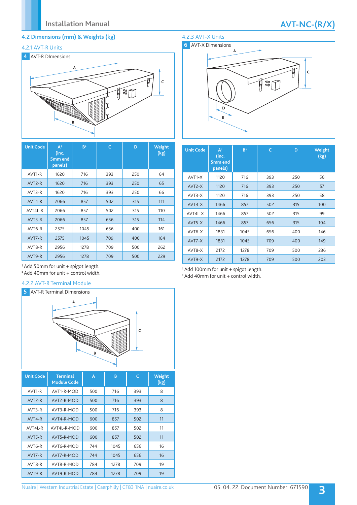# **Installation Manual AVT-NC-(R/X)**

# **4.2 Dimensions (mm) & Weights (kg)**

### 4.2.1 AVT-R Units



| <b>Unit Code</b>    | $A^{\dagger}$<br>(inc.<br>5 <sub>mm</sub> end<br>panels) | $B^*$ | C   | D   | <b>Weight</b><br>(kg) |
|---------------------|----------------------------------------------------------|-------|-----|-----|-----------------------|
| AVT1-R              | 1620                                                     | 716   | 393 | 250 | 64                    |
| AVT <sub>2</sub> -R | 1620                                                     | 716   | 393 | 250 | 65                    |
| AVT3-R              | 1620                                                     | 716   | 393 | 250 | 66                    |
| AVT4-R              | 2066                                                     | 857   | 502 | 315 | 111                   |
| AVT4L-R             | 2066                                                     | 857   | 502 | 315 | 110                   |
| AVT5-R              | 2066                                                     | 857   | 656 | 315 | 114                   |
| AVT6-R              | 2575                                                     | 1045  | 656 | 400 | 161                   |
| AVT7-R              | 2575                                                     | 1045  | 709 | 400 | 164                   |
| AVT8-R              | 2956                                                     | 1278  | 709 | 500 | 262                   |
| AVT9-R              | 2956                                                     | 1278  | 709 | 500 | 229                   |

### 4.2.3 AVT-X Units



| <b>Unit Code</b> | $A^{\dagger}$<br>(inc.<br>5mm end<br>panels) | $B^{\ddagger}$ | $\mathsf{C}$ | D   | Weight<br>(kg) |
|------------------|----------------------------------------------|----------------|--------------|-----|----------------|
| AVT1-X           | 1120                                         | 716            | 393          | 250 | 56             |
| AVT2-X           | 1120                                         | 716            | 393          | 250 | 57             |
| AVT3-X           | 1120                                         | 716            | 393          | 250 | 58             |
| AVT4-X           | 1466                                         | 857            | 502          | 315 | 100            |
| AVT4L-X          | 1466                                         | 857            | 502          | 315 | 99             |
| AVT5-X           | 1466                                         | 857            | 656          | 315 | 104            |
| AVT6-X           | 1831                                         | 1045           | 656          | 400 | 146            |
| AVT7-X           | 1831                                         | 1045           | 709          | 400 | 149            |
| AVT8-X           | 2172                                         | 1278           | 709          | 500 | 236            |
| AVT9-X           | 2172                                         | 1278           | 709          | 500 | 203            |

† Add 50mm for unit + spigot length. ‡ Add 40mm for unit + control width.

### 4.2.2 AVT-R Terminal Module



| <b>Unit Code</b> | <b>Terminal</b><br><b>Module Code</b> | A   | B    | C   | Weight<br>(kg) |
|------------------|---------------------------------------|-----|------|-----|----------------|
| AVT1-R           | AVT1-R-MOD                            | 500 | 716  | 393 | 8              |
| AVT2-R           | AVT2-R-MOD                            | 500 | 716  | 393 | 8              |
| AVT3-R           | AVT3-R-MOD                            | 500 | 716  | 393 | 8              |
| AVT4-R           | AVT4-R-MOD                            | 600 | 857  | 502 | 11             |
| AVT4L-R          | AVT4L-R-MOD                           | 600 | 857  | 502 | 11             |
| AVT5-R           | AVT5-R-MOD                            | 600 | 857  | 502 | 11             |
| AVT6-R           | AVT6-R-MOD                            | 744 | 1045 | 656 | 16             |
| AVT7-R           | AVT7-R-MOD                            | 744 | 1045 | 656 | 16             |
| AVT8-R           | AVT8-R-MOD                            | 784 | 1278 | 709 | 19             |
| AVT9-R           | AVT9-R-MOD                            | 784 | 1278 | 709 | 19             |

† Add 100mm for unit + spigot length.

‡ Add 40mm for unit + control width.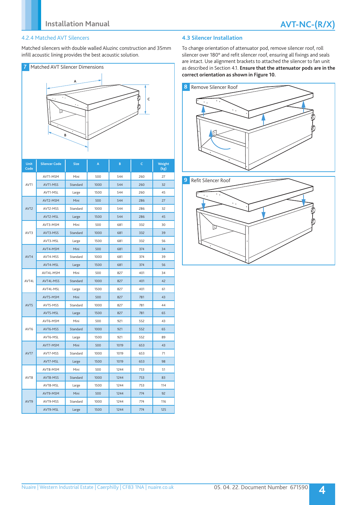### 4.2.4 Matched AVT Silencers

Matched silencers with double walled Aluzinc construction and 35mm infill acoustic lining provides the best acoustic solution.



| Unit<br>Code     | <b>Silencer Code</b> | <b>Size</b> | A    | B    | $\mathsf{C}$ | <b>Weight</b><br>(kg) |
|------------------|----------------------|-------------|------|------|--------------|-----------------------|
| AVT1             | AVT1-MSM             | Mini        | 500  | 544  | 260          | 27                    |
|                  | AVT1-MSS             | Standard    | 1000 | 544  | 260          | 32                    |
|                  | AVT1-MSL             | Large       | 1500 | 544  | 260          | 45                    |
| AVT <sub>2</sub> | AVT2-MSM             | Mini        | 500  | 544  | 286          | 27                    |
|                  | AVT2-MSS             | Standard    | 1000 | 544  | 286          | 32                    |
|                  | AVT2-MSL             | Large       | 1500 | 544  | 286          | 45                    |
|                  | AVT3-MSM             | Mini        | 500  | 681  | 332          | 30                    |
| AVT3             | AVT3-MSS             | Standard    | 1000 | 681  | 332          | 39                    |
|                  | AVT3-MSL             | Large       | 1500 | 681  | 332          | 56                    |
|                  | AVT4-MSM             | Mini        | 500  | 681  | 374          | 34                    |
| AVT4             | AVT4-MSS             | Standard    | 1000 | 681  | 374          | 39                    |
|                  | AVT4-MSL             | Large       | 1500 | 681  | 374          | 56                    |
|                  | AVT4L-MSM            | Mini        | 500  | 827  | 401          | 34                    |
| AVT4L            | AVT4L-MSS            | Standard    | 1000 | 827  | 401          | 42                    |
|                  | AVT4L-MSL            | Large       | 1500 | 827  | 401          | 61                    |
|                  | AVT5-MSM             | Mini        | 500  | 827  | 781          | 43                    |
| AVT5             | AVT5-MSS             | Standard    | 1000 | 827  | 781          | 44                    |
|                  | AVT5-MSL             | Large       | 1500 | 827  | 781          | 65                    |
|                  | AVT6-MSM             | Mini        | 500  | 921  | 552          | 43                    |
| AVT6             | AVT6-MSS             | Standard    | 1000 | 921  | 552          | 65                    |
|                  | AVT6-MSL             | Large       | 1500 | 921  | 552          | 89                    |
|                  | AVT7-MSM             | Mini        | 500  | 1019 | 653          | 43                    |
| AVT7             | AVT7-MSS             | Standard    | 1000 | 1019 | 653          | 71                    |
|                  | AVT7-MSL             | Large       | 1500 | 1019 | 653          | 98                    |
| AVT8             | AVT8-MSM             | Mini        | 500  | 1244 | 753          | 51                    |
|                  | AVT8-MSS             | Standard    | 1000 | 1244 | 753          | 83                    |
|                  | AVT8-MSL             | Large       | 1500 | 1244 | 753          | 114                   |
|                  | AVT9-MSM             | Mini        | 500  | 1244 | 774          | 92                    |
| AVT9             | AVT9-MSS             | Standard    | 1000 | 1244 | 774          | 116                   |
|                  | AVT9-MSL             | Large       | 1500 | 1244 | 774          | 125                   |

### **4.3 Silencer Installation**

To change orientation of attenuator pod, remove silencer roof, roll silencer over 180° and refit silencer roof, ensuring all fixings and seals are intact. Use alignment brackets to attached the silencer to fan unit as described in Section 4.1. **Ensure that the attenuator pods are in the correct orientation as shown in Figure 10.**



**9** Refit Silencer Roof

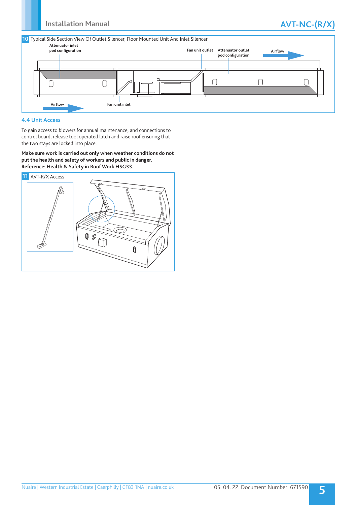

### **4.4 Unit Access**

To gain access to blowers for annual maintenance, and connections to control board, release tool operated latch and raise roof ensuring that the two stays are locked into place.

**Make sure work is carried out only when weather conditions do not put the health and safety of workers and public in danger. Reference: Health & Safety in Roof Work HSG33.**

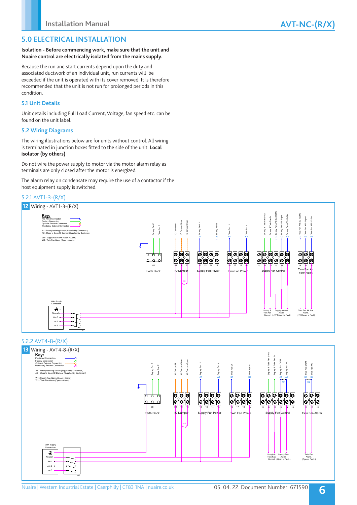### **5.0 ELECTRICAL INSTALLATION**

### **Isolation - Before commencing work, make sure that the unit and Nuaire control are electrically isolated from the mains supply.**

Because the run and start currents depend upon the duty and associated ductwork of an individual unit, run currents will be exceeded if the unit is operated with its cover removed. It is therefore recommended that the unit is not run for prolonged periods in this condition.

### **5.1 Unit Details**

Unit details including Full Load Current, Voltage, fan speed etc. can be found on the unit label.

### **5.2 Wiring Diagrams**

The wiring illustrations below are for units without control. All wiring is terminated in junction boxes fitted to the side of the unit. **Local isolator (by others)**

Do not wire the power supply to motor via the motor alarm relay as terminals are only closed after the motor is energized.

The alarm relay on condensate may require the use of a contactor if the host equipment supply is switched.

### 5.2.1 AVT1-3-(R/X)



### 5.2.2 AVT4-8-(R/X)

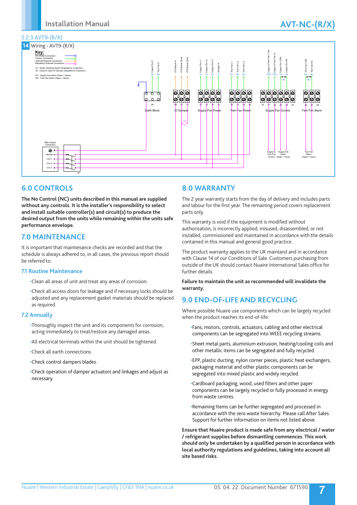### 5.2.3 AVT9-(R/X)



# **6.0 CONTROLS**

**The No Control (NC) units described in this manual are supplied without any controls. It is the installer's responsibility to select and install suitable controller(s) and circuit(s) to produce the desired output from the units while remaining within the units safe performance envelope.**

### **7.0 MAINTENANCE**

It is important that maintenance checks are recorded and that the schedule is always adhered to, in all cases, the previous report should be referred to.

### **7.1 Routine Maintenance**

•Clean all areas of unit and treat any areas of corrosion.

•Check all access doors for leakage and if necessary locks should be adjusted and any replacement gasket materials should be replaced as required.

### **7.2 Annually**

•Thoroughly inspect the unit and its components for corrosion, acting immediately to treat/restore any damaged areas.

- •All electrical terminals within the unit should be tightened.
- •Check all earth connections.
- •Check control dampers blades.
- •Check operation of damper actuators and linkages and adjust as necessary.

## **8.0 WARRANTY**

The 2 year warranty starts from the day of delivery and includes parts and labour for the first year. The remaining period covers replacement parts only.

This warranty is void if the equipment is modified without authorisation, is incorrectly applied, misused, disassembled, or not installed, commissioned and maintained in accordance with the details contained in this manual and general good practice.

The product warranty applies to the UK mainland and in accordance with Clause 14 of our Conditions of Sale. Customers purchasing from outside of the UK should contact Nuaire International Sales office for further details.

**Failure to maintain the unit as recommended will invalidate the warranty.**

### **9.0 END-OF-LIFE AND RECYCLING**

Where possible Nuaire use components which can be largely recycled when the product reaches its end-of-life:

- •Fans, motors, controls, actuators, cabling and other electrical components can be segregated into WEEE recycling streams.
- •Sheet metal parts, aluminium extrusion, heating/cooling coils and other metallic items can be segregated and fully recycled.
- •EPP, plastic ducting, nylon corner pieces, plastic heat exchangers, packaging material and other plastic components can be segregated into mixed plastic and widely recycled.
- •Cardboard packaging, wood, used filters and other paper components can be largely recycled or fully processed in energy from waste centres.
- •Remaining Items can be further segregated and processed in accordance with the zero waste hierarchy. Please call After Sales Support for further information on items not listed above.

**Ensure that Nuaire product is made safe from any electrical / water / refrigerant supplies before dismantling commences. This work should only be undertaken by a qualified person in accordance with local authority regulations and guidelines, taking into account all site based risks.**